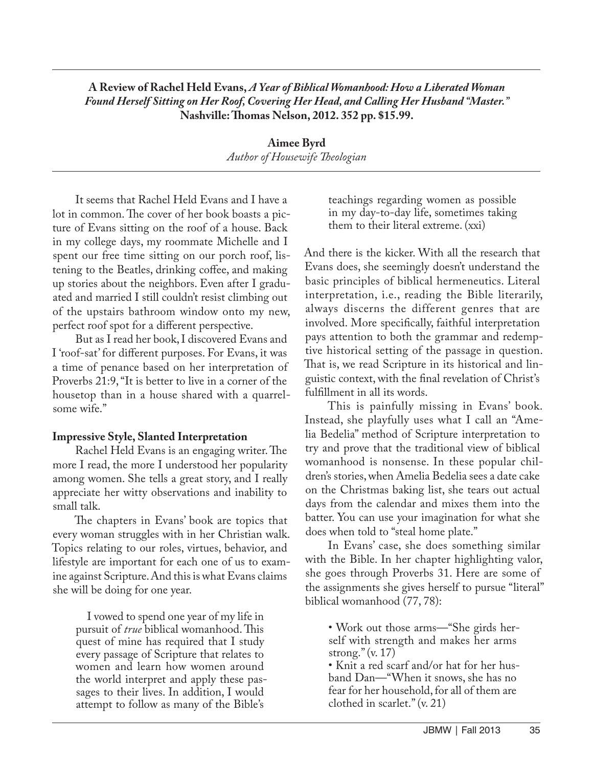## **A Review of Rachel Held Evans,** *A Year of Biblical Womanhood: How a Liberated Woman Found Herself Sitting on Her Roof, Covering Her Head, and Calling Her Husband "Master."* **Nashville: Thomas Nelson, 2012. 352 pp. \$15.99.**

**Aimee Byrd** *Author of Housewife Theologian*

It seems that Rachel Held Evans and I have a lot in common. The cover of her book boasts a picture of Evans sitting on the roof of a house. Back in my college days, my roommate Michelle and I spent our free time sitting on our porch roof, listening to the Beatles, drinking coffee, and making up stories about the neighbors. Even after I graduated and married I still couldn't resist climbing out of the upstairs bathroom window onto my new, perfect roof spot for a different perspective.

But as I read her book, I discovered Evans and I 'roof-sat' for different purposes. For Evans, it was a time of penance based on her interpretation of Proverbs 21:9, "It is better to live in a corner of the housetop than in a house shared with a quarrelsome wife."

## **Impressive Style, Slanted Interpretation**

Rachel Held Evans is an engaging writer. The more I read, the more I understood her popularity among women. She tells a great story, and I really appreciate her witty observations and inability to small talk.

The chapters in Evans' book are topics that every woman struggles with in her Christian walk. Topics relating to our roles, virtues, behavior, and lifestyle are important for each one of us to examine against Scripture. And this is what Evans claims she will be doing for one year.

I vowed to spend one year of my life in pursuit of *true* biblical womanhood. This quest of mine has required that I study every passage of Scripture that relates to women and learn how women around the world interpret and apply these passages to their lives. In addition, I would attempt to follow as many of the Bible's

teachings regarding women as possible in my day-to-day life, sometimes taking them to their literal extreme. (xxi)

And there is the kicker. With all the research that Evans does, she seemingly doesn't understand the basic principles of biblical hermeneutics. Literal interpretation, i.e., reading the Bible literarily, always discerns the different genres that are involved. More specifically, faithful interpretation pays attention to both the grammar and redemptive historical setting of the passage in question. That is, we read Scripture in its historical and linguistic context, with the final revelation of Christ's fulfillment in all its words.

This is painfully missing in Evans' book. Instead, she playfully uses what I call an "Amelia Bedelia" method of Scripture interpretation to try and prove that the traditional view of biblical womanhood is nonsense. In these popular children's stories, when Amelia Bedelia sees a date cake on the Christmas baking list, she tears out actual days from the calendar and mixes them into the batter. You can use your imagination for what she does when told to "steal home plate."

In Evans' case, she does something similar with the Bible. In her chapter highlighting valor, she goes through Proverbs 31. Here are some of the assignments she gives herself to pursue "literal" biblical womanhood (77, 78):

• Work out those arms—"She girds herself with strength and makes her arms strong." (v. 17)

• Knit a red scarf and/or hat for her husband Dan—"When it snows, she has no fear for her household, for all of them are clothed in scarlet." (v. 21)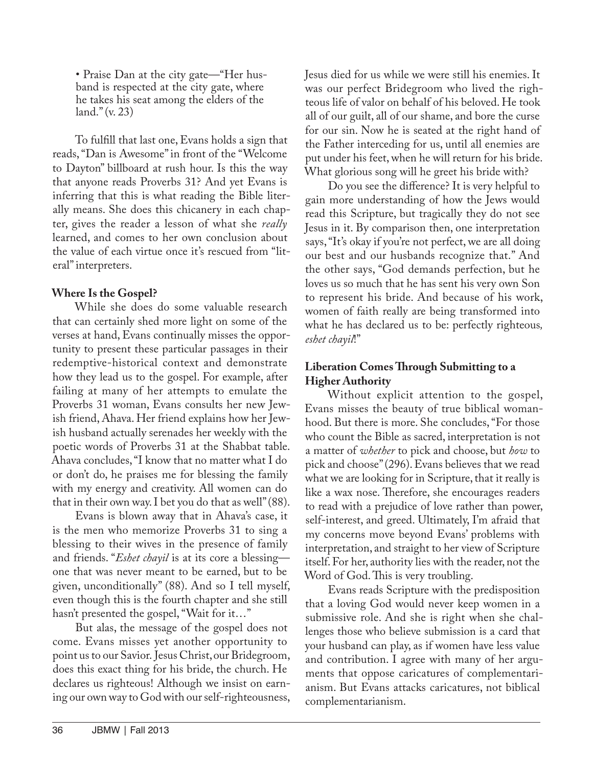• Praise Dan at the city gate—"Her husband is respected at the city gate, where he takes his seat among the elders of the land." (v. 23)

To fulfill that last one, Evans holds a sign that reads, "Dan is Awesome" in front of the "Welcome to Dayton" billboard at rush hour. Is this the way that anyone reads Proverbs 31? And yet Evans is inferring that this is what reading the Bible literally means. She does this chicanery in each chapter, gives the reader a lesson of what she *really* learned, and comes to her own conclusion about the value of each virtue once it's rescued from "literal" interpreters.

## **Where Is the Gospel?**

While she does do some valuable research that can certainly shed more light on some of the verses at hand, Evans continually misses the opportunity to present these particular passages in their redemptive-historical context and demonstrate how they lead us to the gospel. For example, after failing at many of her attempts to emulate the Proverbs 31 woman, Evans consults her new Jewish friend, Ahava. Her friend explains how her Jewish husband actually serenades her weekly with the poetic words of Proverbs 31 at the Shabbat table. Ahava concludes, "I know that no matter what I do or don't do, he praises me for blessing the family with my energy and creativity. All women can do that in their own way. I bet you do that as well" (88).

Evans is blown away that in Ahava's case, it is the men who memorize Proverbs 31 to sing a blessing to their wives in the presence of family and friends. "*Eshet chayil* is at its core a blessing one that was never meant to be earned, but to be given, unconditionally" (88). And so I tell myself, even though this is the fourth chapter and she still hasn't presented the gospel, "Wait for it..."

But alas, the message of the gospel does not come. Evans misses yet another opportunity to point us to our Savior. Jesus Christ, our Bridegroom, does this exact thing for his bride, the church. He declares us righteous! Although we insist on earning our own way to God with our self-righteousness, Jesus died for us while we were still his enemies. It was our perfect Bridegroom who lived the righteous life of valor on behalf of his beloved. He took all of our guilt, all of our shame, and bore the curse for our sin. Now he is seated at the right hand of the Father interceding for us, until all enemies are put under his feet, when he will return for his bride. What glorious song will he greet his bride with?

Do you see the difference? It is very helpful to gain more understanding of how the Jews would read this Scripture, but tragically they do not see Jesus in it. By comparison then, one interpretation says, "It's okay if you're not perfect, we are all doing our best and our husbands recognize that." And the other says, "God demands perfection, but he loves us so much that he has sent his very own Son to represent his bride. And because of his work, women of faith really are being transformed into what he has declared us to be: perfectly righteous*, eshet chayil*!"

## **Liberation Comes Through Submitting to a Higher Authority**

Without explicit attention to the gospel, Evans misses the beauty of true biblical womanhood. But there is more. She concludes, "For those who count the Bible as sacred, interpretation is not a matter of *whether* to pick and choose, but *how* to pick and choose" (296). Evans believes that we read what we are looking for in Scripture, that it really is like a wax nose. Therefore, she encourages readers to read with a prejudice of love rather than power, self-interest, and greed. Ultimately, I'm afraid that my concerns move beyond Evans' problems with interpretation, and straight to her view of Scripture itself. For her, authority lies with the reader, not the Word of God. This is very troubling.

Evans reads Scripture with the predisposition that a loving God would never keep women in a submissive role. And she is right when she challenges those who believe submission is a card that your husband can play, as if women have less value and contribution. I agree with many of her arguments that oppose caricatures of complementarianism. But Evans attacks caricatures, not biblical complementarianism.